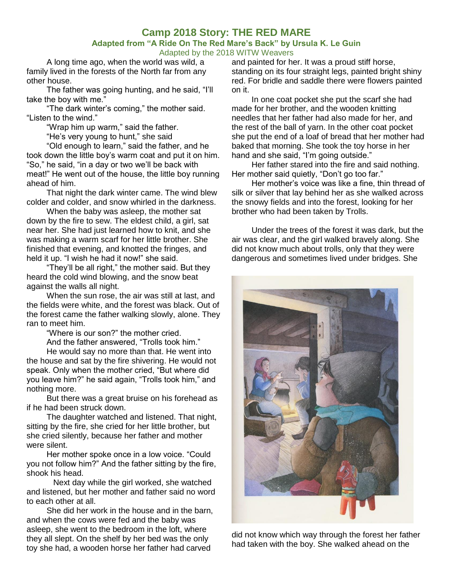## **Camp 2018 Story: THE RED MARE Adapted from "A Ride On The Red Mare's Back" by Ursula K. Le Guin** Adapted by the 2018 WITW Weavers

A long time ago, when the world was wild, a family lived in the forests of the North far from any other house.

The father was going hunting, and he said, "I'll take the boy with me."

"The dark winter's coming," the mother said. "Listen to the wind."

"Wrap him up warm," said the father.

"He's very young to hunt," she said

"Old enough to learn," said the father, and he took down the little boy's warm coat and put it on him. "So," he said, "in a day or two we'll be back with meat!" He went out of the house, the little boy running ahead of him.

That night the dark winter came. The wind blew colder and colder, and snow whirled in the darkness.

When the baby was asleep, the mother sat down by the fire to sew. The eldest child, a girl, sat near her. She had just learned how to knit, and she was making a warm scarf for her little brother. She finished that evening, and knotted the fringes, and held it up. "I wish he had it now!" she said.

"They'll be all right," the mother said. But they heard the cold wind blowing, and the snow beat against the walls all night.

When the sun rose, the air was still at last, and the fields were white, and the forest was black. Out of the forest came the father walking slowly, alone. They ran to meet him.

"Where is our son?" the mother cried.

And the father answered, "Trolls took him." He would say no more than that. He went into the house and sat by the fire shivering. He would not speak. Only when the mother cried, "But where did you leave him?" he said again, "Trolls took him," and nothing more.

But there was a great bruise on his forehead as if he had been struck down.

The daughter watched and listened. That night, sitting by the fire, she cried for her little brother, but she cried silently, because her father and mother were silent.

Her mother spoke once in a low voice. "Could you not follow him?" And the father sitting by the fire, shook his head.

Next day while the girl worked, she watched and listened, but her mother and father said no word to each other at all.

She did her work in the house and in the barn, and when the cows were fed and the baby was asleep, she went to the bedroom in the loft, where they all slept. On the shelf by her bed was the only toy she had, a wooden horse her father had carved

and painted for her. It was a proud stiff horse, standing on its four straight legs, painted bright shiny red. For bridle and saddle there were flowers painted on it.

In one coat pocket she put the scarf she had made for her brother, and the wooden knitting needles that her father had also made for her, and the rest of the ball of yarn. In the other coat pocket she put the end of a loaf of bread that her mother had baked that morning. She took the toy horse in her hand and she said, "I'm going outside."

Her father stared into the fire and said nothing. Her mother said quietly, "Don't go too far."

Her mother's voice was like a fine, thin thread of silk or silver that lay behind her as she walked across the snowy fields and into the forest, looking for her brother who had been taken by Trolls.

Under the trees of the forest it was dark, but the air was clear, and the girl walked bravely along. She did not know much about trolls, only that they were dangerous and sometimes lived under bridges. She



did not know which way through the forest her father had taken with the boy. She walked ahead on the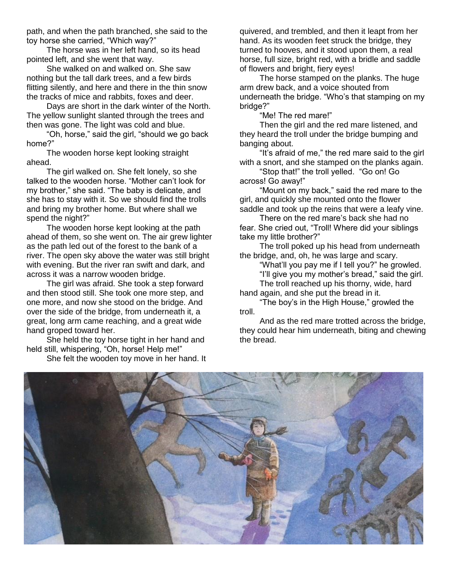path, and when the path branched, she said to the toy horse she carried, "Which way?"

The horse was in her left hand, so its head pointed left, and she went that way.

She walked on and walked on. She saw nothing but the tall dark trees, and a few birds flitting silently, and here and there in the thin snow the tracks of mice and rabbits, foxes and deer.

Days are short in the dark winter of the North. The yellow sunlight slanted through the trees and then was gone. The light was cold and blue.

"Oh, horse," said the girl, "should we go back home?"

The wooden horse kept looking straight ahead.

The girl walked on. She felt lonely, so she talked to the wooden horse. "Mother can't look for my brother," she said. "The baby is delicate, and she has to stay with it. So we should find the trolls and bring my brother home. But where shall we spend the night?"

The wooden horse kept looking at the path ahead of them, so she went on. The air grew lighter as the path led out of the forest to the bank of a river. The open sky above the water was still bright with evening. But the river ran swift and dark, and across it was a narrow wooden bridge.

The girl was afraid. She took a step forward and then stood still. She took one more step, and one more, and now she stood on the bridge. And over the side of the bridge, from underneath it, a great, long arm came reaching, and a great wide hand groped toward her.

She held the toy horse tight in her hand and held still, whispering, "Oh, horse! Help me!"

She felt the wooden toy move in her hand. It

quivered, and trembled, and then it leapt from her hand. As its wooden feet struck the bridge, they turned to hooves, and it stood upon them, a real horse, full size, bright red, with a bridle and saddle of flowers and bright, fiery eyes!

The horse stamped on the planks. The huge arm drew back, and a voice shouted from underneath the bridge. "Who's that stamping on my bridge?"

"Me! The red mare!"

Then the girl and the red mare listened, and they heard the troll under the bridge bumping and banging about.

"It's afraid of me," the red mare said to the girl with a snort, and she stamped on the planks again.

"Stop that!" the troll yelled. "Go on! Go across! Go away!"

"Mount on my back," said the red mare to the girl, and quickly she mounted onto the flower saddle and took up the reins that were a leafy vine.

There on the red mare's back she had no fear. She cried out, "Troll! Where did your siblings take my little brother?"

The troll poked up his head from underneath the bridge, and, oh, he was large and scary.

"What'll you pay me if I tell you?" he growled. "I'll give you my mother's bread," said the girl.

The troll reached up his thorny, wide, hard hand again, and she put the bread in it.

"The boy's in the High House," growled the troll.

And as the red mare trotted across the bridge, they could hear him underneath, biting and chewing the bread.

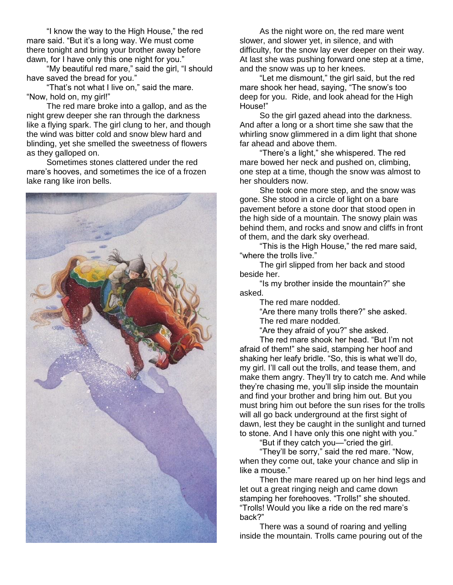"I know the way to the High House," the red mare said. "But it's a long way. We must come there tonight and bring your brother away before dawn, for I have only this one night for you."

"My beautiful red mare," said the girl, "I should have saved the bread for you."

"That's not what I live on," said the mare. "Now, hold on, my girl!"

The red mare broke into a gallop, and as the night grew deeper she ran through the darkness like a flying spark. The girl clung to her, and though the wind was bitter cold and snow blew hard and blinding, yet she smelled the sweetness of flowers as they galloped on.

Sometimes stones clattered under the red mare's hooves, and sometimes the ice of a frozen lake rang like iron bells.



As the night wore on, the red mare went slower, and slower yet, in silence, and with difficulty, for the snow lay ever deeper on their way. At last she was pushing forward one step at a time, and the snow was up to her knees.

"Let me dismount," the girl said, but the red mare shook her head, saying, "The snow's too deep for you. Ride, and look ahead for the High House!"

So the girl gazed ahead into the darkness. And after a long or a short time she saw that the whirling snow glimmered in a dim light that shone far ahead and above them.

"There's a light," she whispered. The red mare bowed her neck and pushed on, climbing, one step at a time, though the snow was almost to her shoulders now.

She took one more step, and the snow was gone. She stood in a circle of light on a bare pavement before a stone door that stood open in the high side of a mountain. The snowy plain was behind them, and rocks and snow and cliffs in front of them, and the dark sky overhead.

"This is the High House," the red mare said, "where the trolls live."

The girl slipped from her back and stood beside her.

"Is my brother inside the mountain?" she asked.

The red mare nodded.

"Are there many trolls there?" she asked. The red mare nodded.

"Are they afraid of you?" she asked.

The red mare shook her head. "But I'm not afraid of them!" she said, stamping her hoof and shaking her leafy bridle. "So, this is what we'll do, my girl. I'll call out the trolls, and tease them, and make them angry. They'll try to catch me. And while they're chasing me, you'll slip inside the mountain and find your brother and bring him out. But you must bring him out before the sun rises for the trolls will all go back underground at the first sight of dawn, lest they be caught in the sunlight and turned to stone. And I have only this one night with you."

"But if they catch you—"cried the girl.

"They'll be sorry," said the red mare. "Now, when they come out, take your chance and slip in like a mouse."

Then the mare reared up on her hind legs and let out a great ringing neigh and came down stamping her forehooves. "Trolls!" she shouted. "Trolls! Would you like a ride on the red mare's back?"

There was a sound of roaring and yelling inside the mountain. Trolls came pouring out of the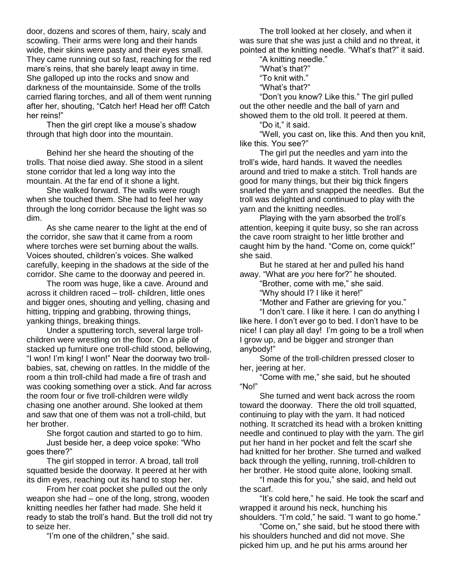door, dozens and scores of them, hairy, scaly and scowling. Their arms were long and their hands wide, their skins were pasty and their eyes small. They came running out so fast, reaching for the red mare's reins, that she barely leapt away in time. She galloped up into the rocks and snow and darkness of the mountainside. Some of the trolls carried flaring torches, and all of them went running after her, shouting, "Catch her! Head her off! Catch her reins!"

Then the girl crept like a mouse's shadow through that high door into the mountain.

Behind her she heard the shouting of the trolls. That noise died away. She stood in a silent stone corridor that led a long way into the mountain. At the far end of it shone a light.

She walked forward. The walls were rough when she touched them. She had to feel her way through the long corridor because the light was so dim.

As she came nearer to the light at the end of the corridor, she saw that it came from a room where torches were set burning about the walls. Voices shouted, children's voices. She walked carefully, keeping in the shadows at the side of the corridor. She came to the doorway and peered in.

The room was huge, like a cave. Around and across it children raced – troll- children, little ones and bigger ones, shouting and yelling, chasing and hitting, tripping and grabbing, throwing things, yanking things, breaking things.

Under a sputtering torch, several large trollchildren were wrestling on the floor. On a pile of stacked up furniture one troll-child stood, bellowing, "I won! I'm king! I won!" Near the doorway two trollbabies, sat, chewing on rattles. In the middle of the room a thin troll-child had made a fire of trash and was cooking something over a stick. And far across the room four or five troll-children were wildly chasing one another around. She looked at them and saw that one of them was not a troll-child, but her brother.

She forgot caution and started to go to him. Just beside her, a deep voice spoke: "Who goes there?"

The girl stopped in terror. A broad, tall troll squatted beside the doorway. It peered at her with its dim eyes, reaching out its hand to stop her.

From her coat pocket she pulled out the only weapon she had – one of the long, strong, wooden knitting needles her father had made. She held it ready to stab the troll's hand. But the troll did not try to seize her.

"I'm one of the children," she said.

The troll looked at her closely, and when it was sure that she was just a child and no threat, it pointed at the knitting needle. "What's that?" it said. "A knitting needle."

"What's that?"

"To knit with."

"What's that?"

"Don't you know? Like this." The girl pulled out the other needle and the ball of yarn and showed them to the old troll. It peered at them.

"Do it," it said.

"Well, you cast on, like this. And then you knit, like this. You see?"

The girl put the needles and yarn into the troll's wide, hard hands. It waved the needles around and tried to make a stitch. Troll hands are good for many things, but their big thick fingers snarled the yarn and snapped the needles. But the troll was delighted and continued to play with the yarn and the knitting needles.

Playing with the yarn absorbed the troll's attention, keeping it quite busy, so she ran across the cave room straight to her little brother and caught him by the hand. "Come on, come quick!" she said.

But he stared at her and pulled his hand away. "What are *you* here for?" he shouted.

"Brother, come with me," she said.

"Why should I? I like it here!"

"Mother and Father are grieving for you."

"I don't care. I like it here. I can do anything I like here. I don't ever go to bed. I don't have to be nice! I can play all day! I'm going to be a troll when I grow up, and be bigger and stronger than anybody!"

Some of the troll-children pressed closer to her, jeering at her.

"Come with me," she said, but he shouted "No!"

She turned and went back across the room toward the doorway. There the old troll squatted, continuing to play with the yarn. It had noticed nothing. It scratched its head with a broken knitting needle and continued to play with the yarn. The girl put her hand in her pocket and felt the scarf she had knitted for her brother. She turned and walked back through the yelling, running, troll-children to her brother. He stood quite alone, looking small.

"I made this for you," she said, and held out the scarf.

"It's cold here," he said. He took the scarf and wrapped it around his neck, hunching his shoulders. "I'm cold," he said. "I want to go home."

"Come on," she said, but he stood there with his shoulders hunched and did not move. She picked him up, and he put his arms around her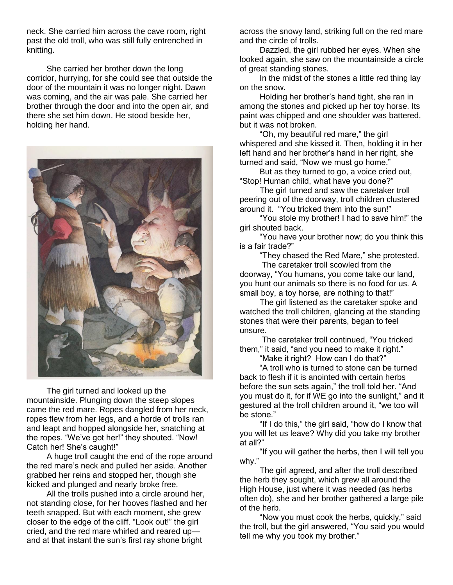neck. She carried him across the cave room, right past the old troll, who was still fully entrenched in knitting.

She carried her brother down the long corridor, hurrying, for she could see that outside the door of the mountain it was no longer night. Dawn was coming, and the air was pale. She carried her brother through the door and into the open air, and there she set him down. He stood beside her, holding her hand.



The girl turned and looked up the mountainside. Plunging down the steep slopes came the red mare. Ropes dangled from her neck, ropes flew from her legs, and a horde of trolls ran and leapt and hopped alongside her, snatching at the ropes. "We've got her!" they shouted. "Now! Catch her! She's caught!"

A huge troll caught the end of the rope around the red mare's neck and pulled her aside. Another grabbed her reins and stopped her, though she kicked and plunged and nearly broke free.

All the trolls pushed into a circle around her, not standing close, for her hooves flashed and her teeth snapped. But with each moment, she grew closer to the edge of the cliff. "Look out!" the girl cried, and the red mare whirled and reared up and at that instant the sun's first ray shone bright

across the snowy land, striking full on the red mare and the circle of trolls.

Dazzled, the girl rubbed her eyes. When she looked again, she saw on the mountainside a circle of great standing stones.

In the midst of the stones a little red thing lay on the snow.

Holding her brother's hand tight, she ran in among the stones and picked up her toy horse. Its paint was chipped and one shoulder was battered, but it was not broken.

"Oh, my beautiful red mare," the girl whispered and she kissed it. Then, holding it in her left hand and her brother's hand in her right, she turned and said, "Now we must go home."

But as they turned to go, a voice cried out, "Stop! Human child, what have you done?"

The girl turned and saw the caretaker troll peering out of the doorway, troll children clustered around it. "You tricked them into the sun!"

"You stole my brother! I had to save him!" the girl shouted back.

"You have your brother now; do you think this is a fair trade?"

"They chased the Red Mare," she protested.

The caretaker troll scowled from the doorway, "You humans, you come take our land, you hunt our animals so there is no food for us. A small boy, a toy horse, are nothing to that!"

The girl listened as the caretaker spoke and watched the troll children, glancing at the standing stones that were their parents, began to feel unsure.

The caretaker troll continued, "You tricked them," it said, "and you need to make it right."

"Make it right? How can I do that?"

"A troll who is turned to stone can be turned back to flesh if it is anointed with certain herbs before the sun sets again," the troll told her. "And you must do it, for if WE go into the sunlight," and it gestured at the troll children around it, "we too will be stone."

"If I do this," the girl said, "how do I know that you will let us leave? Why did you take my brother at all?"

"If you will gather the herbs, then I will tell you why."

The girl agreed, and after the troll described the herb they sought, which grew all around the High House, just where it was needed (as herbs often do), she and her brother gathered a large pile of the herb.

"Now you must cook the herbs, quickly," said the troll, but the girl answered, "You said you would tell me why you took my brother."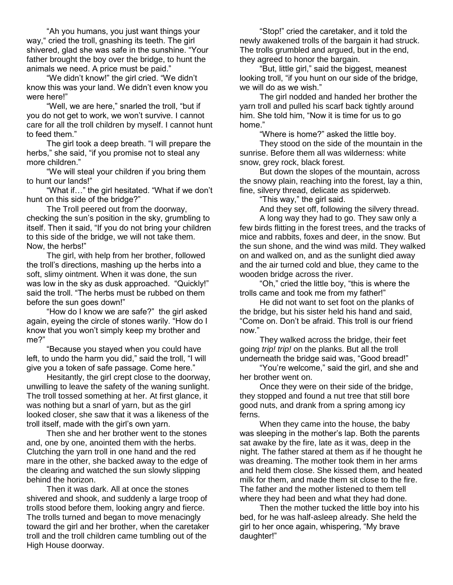"Ah you humans, you just want things your way," cried the troll, gnashing its teeth. The girl shivered, glad she was safe in the sunshine. "Your father brought the boy over the bridge, to hunt the animals we need. A price must be paid."

"We didn't know!" the girl cried. "We didn't know this was your land. We didn't even know you were here!"

"Well, we are here," snarled the troll, "but if you do not get to work, we won't survive. I cannot care for all the troll children by myself. I cannot hunt to feed them."

The girl took a deep breath. "I will prepare the herbs," she said, "if you promise not to steal any more children."

"We will steal your children if you bring them to hunt our lands!"

"What if…" the girl hesitated. "What if we don't hunt on this side of the bridge?"

The Troll peered out from the doorway, checking the sun's position in the sky, grumbling to itself. Then it said, "If you do not bring your children to this side of the bridge, we will not take them. Now, the herbs!"

The girl, with help from her brother, followed the troll's directions, mashing up the herbs into a soft, slimy ointment. When it was done, the sun was low in the sky as dusk approached. "Quickly!" said the troll. "The herbs must be rubbed on them before the sun goes down!"

"How do I know we are safe?" the girl asked again, eyeing the circle of stones warily. "How do I know that you won't simply keep my brother and me?"

"Because you stayed when you could have left, to undo the harm you did," said the troll, "I will give you a token of safe passage. Come here."

Hesitantly, the girl crept close to the doorway, unwilling to leave the safety of the waning sunlight. The troll tossed something at her. At first glance, it was nothing but a snarl of yarn, but as the girl looked closer, she saw that it was a likeness of the troll itself, made with the girl's own yarn.

Then she and her brother went to the stones and, one by one, anointed them with the herbs. Clutching the yarn troll in one hand and the red mare in the other, she backed away to the edge of the clearing and watched the sun slowly slipping behind the horizon.

Then it was dark. All at once the stones shivered and shook, and suddenly a large troop of trolls stood before them, looking angry and fierce. The trolls turned and began to move menacingly toward the girl and her brother, when the caretaker troll and the troll children came tumbling out of the High House doorway.

"Stop!" cried the caretaker, and it told the newly awakened trolls of the bargain it had struck. The trolls grumbled and argued, but in the end, they agreed to honor the bargain.

"But, little girl," said the biggest, meanest looking troll, "if you hunt on our side of the bridge, we will do as we wish."

The girl nodded and handed her brother the yarn troll and pulled his scarf back tightly around him. She told him, "Now it is time for us to go home."

"Where is home?" asked the little boy.

They stood on the side of the mountain in the sunrise. Before them all was wilderness: white snow, grey rock, black forest.

But down the slopes of the mountain, across the snowy plain, reaching into the forest, lay a thin, fine, silvery thread, delicate as spiderweb.

"This way," the girl said.

And they set off, following the silvery thread.

A long way they had to go. They saw only a few birds flitting in the forest trees, and the tracks of mice and rabbits, foxes and deer, in the snow. But the sun shone, and the wind was mild. They walked on and walked on, and as the sunlight died away and the air turned cold and blue, they came to the wooden bridge across the river.

"Oh," cried the little boy, "this is where the trolls came and took me from my father!"

He did not want to set foot on the planks of the bridge, but his sister held his hand and said, "Come on. Don't be afraid. This troll is our friend now."

They walked across the bridge, their feet going *trip! trip!* on the planks. But all the troll underneath the bridge said was, "Good bread!"

"You're welcome," said the girl, and she and her brother went on.

Once they were on their side of the bridge, they stopped and found a nut tree that still bore good nuts, and drank from a spring among icy ferns.

When they came into the house, the baby was sleeping in the mother's lap. Both the parents sat awake by the fire, late as it was, deep in the night. The father stared at them as if he thought he was dreaming. The mother took them in her arms and held them close. She kissed them, and heated milk for them, and made them sit close to the fire. The father and the mother listened to them tell where they had been and what they had done.

Then the mother tucked the little boy into his bed, for he was half-asleep already. She held the girl to her once again, whispering, "My brave daughter!"